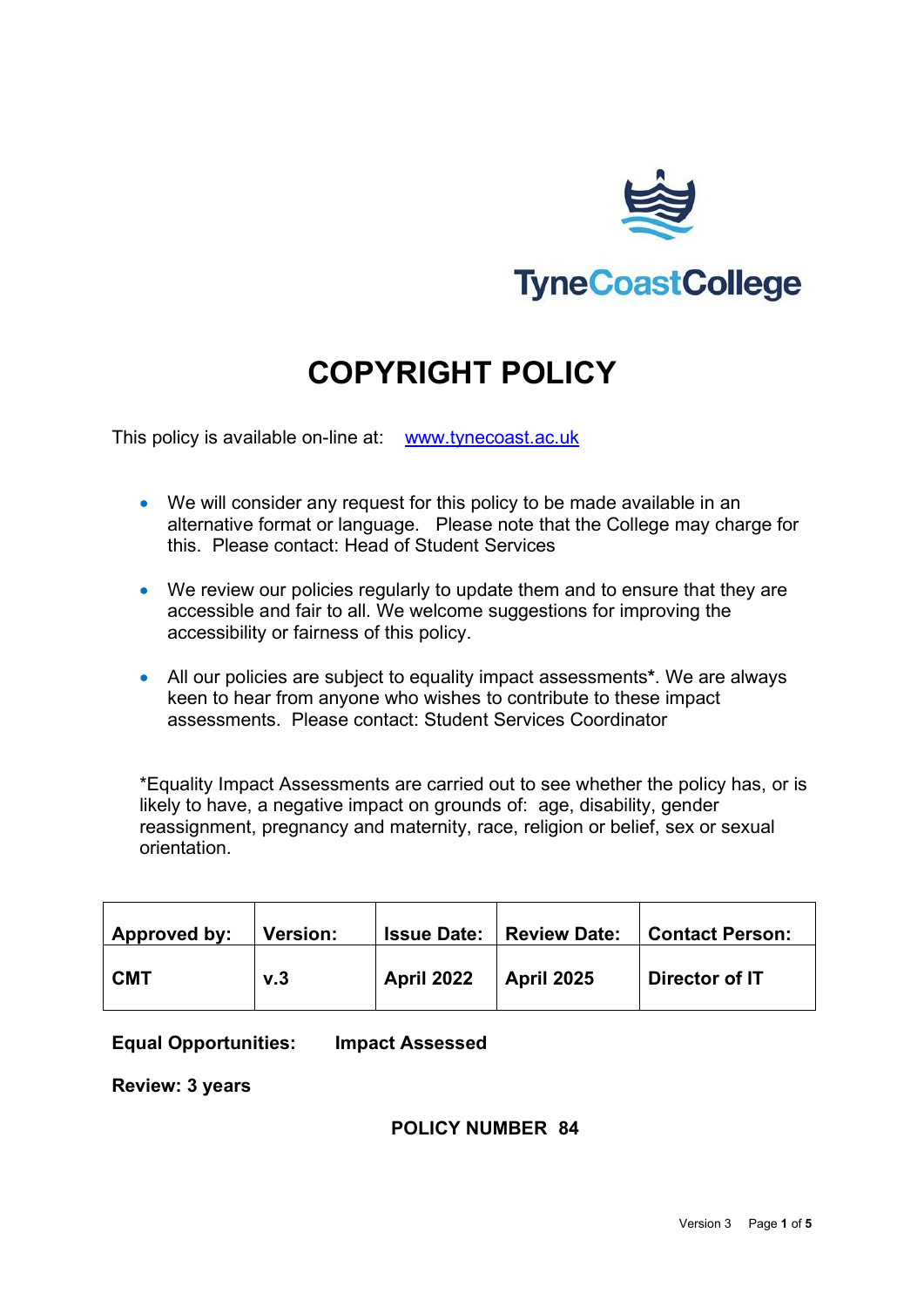

# **COPYRIGHT POLICY**

This policy is available on-line at: [www.tynecoast.ac.uk](http://www.tynecoast.ac.uk/)

- We will consider any request for this policy to be made available in an alternative format or language. Please note that the College may charge for this. Please contact: Head of Student Services
- We review our policies regularly to update them and to ensure that they are accessible and fair to all. We welcome suggestions for improving the accessibility or fairness of this policy.
- All our policies are subject to equality impact assessments**\***. We are always keen to hear from anyone who wishes to contribute to these impact assessments. Please contact: Student Services Coordinator

\*Equality Impact Assessments are carried out to see whether the policy has, or is likely to have, a negative impact on grounds of: age, disability, gender reassignment, pregnancy and maternity, race, religion or belief, sex or sexual orientation.

| Approved by: | <b>Version:</b> | <b>Issue Date:</b> | <b>Review Date:</b> | <b>Contact Person:</b> |
|--------------|-----------------|--------------------|---------------------|------------------------|
| <b>CMT</b>   | v.3             | <b>April 2022</b>  | <b>April 2025</b>   | Director of IT         |

**Equal Opportunities: Impact Assessed** 

**Review: 3 years**

# **POLICY NUMBER 84**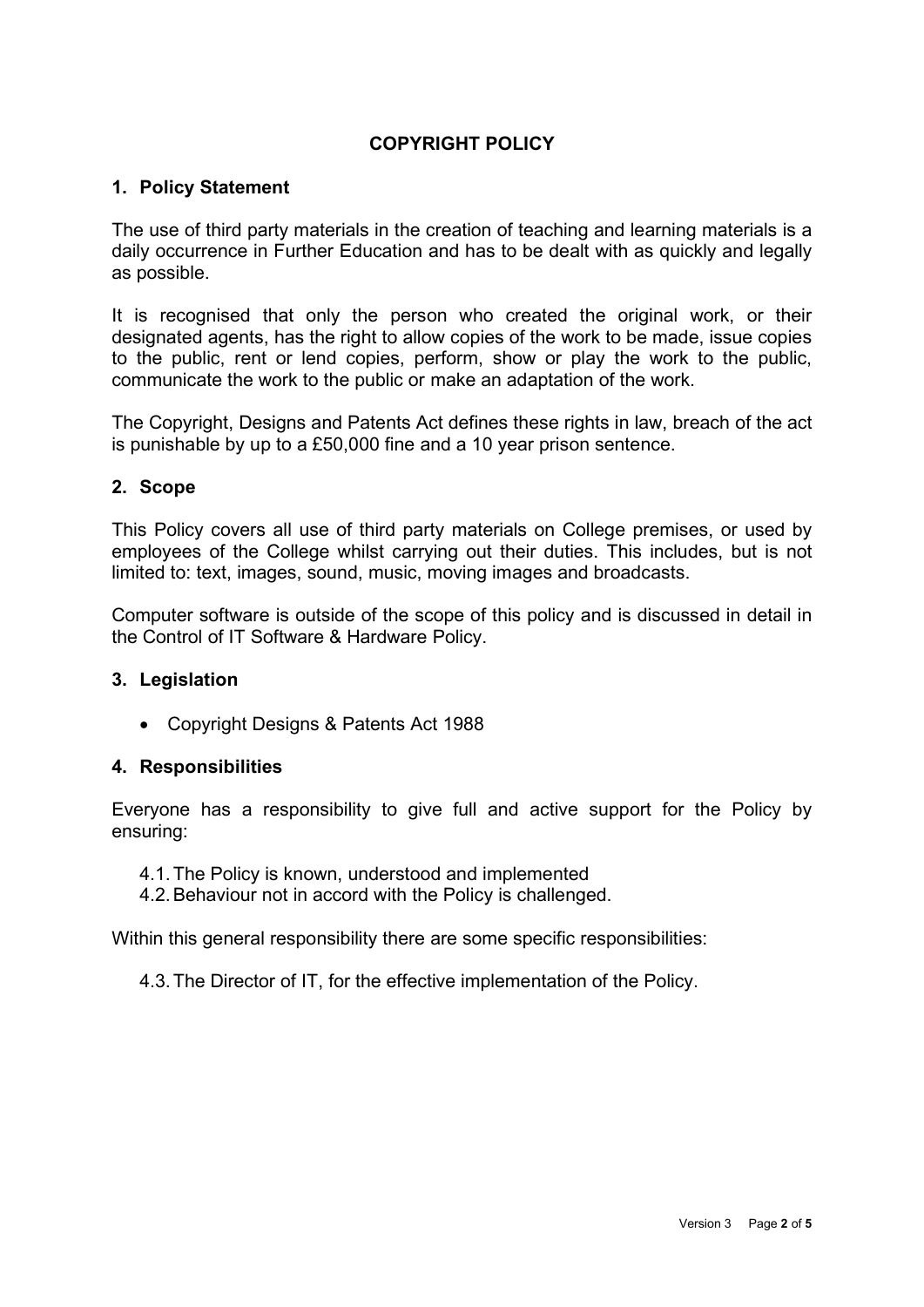# **COPYRIGHT POLICY**

## **1. Policy Statement**

The use of third party materials in the creation of teaching and learning materials is a daily occurrence in Further Education and has to be dealt with as quickly and legally as possible.

It is recognised that only the person who created the original work, or their designated agents, has the right to allow copies of the work to be made, issue copies to the public, rent or lend copies, perform, show or play the work to the public, communicate the work to the public or make an adaptation of the work.

The Copyright, Designs and Patents Act defines these rights in law, breach of the act is punishable by up to a £50,000 fine and a 10 year prison sentence.

#### **2. Scope**

This Policy covers all use of third party materials on College premises, or used by employees of the College whilst carrying out their duties. This includes, but is not limited to: text, images, sound, music, moving images and broadcasts.

Computer software is outside of the scope of this policy and is discussed in detail in the Control of IT Software & Hardware Policy.

#### **3. Legislation**

• Copyright Designs & Patents Act 1988

#### **4. Responsibilities**

Everyone has a responsibility to give full and active support for the Policy by ensuring:

- 4.1.The Policy is known, understood and implemented
- 4.2.Behaviour not in accord with the Policy is challenged.

Within this general responsibility there are some specific responsibilities:

4.3.The Director of IT, for the effective implementation of the Policy.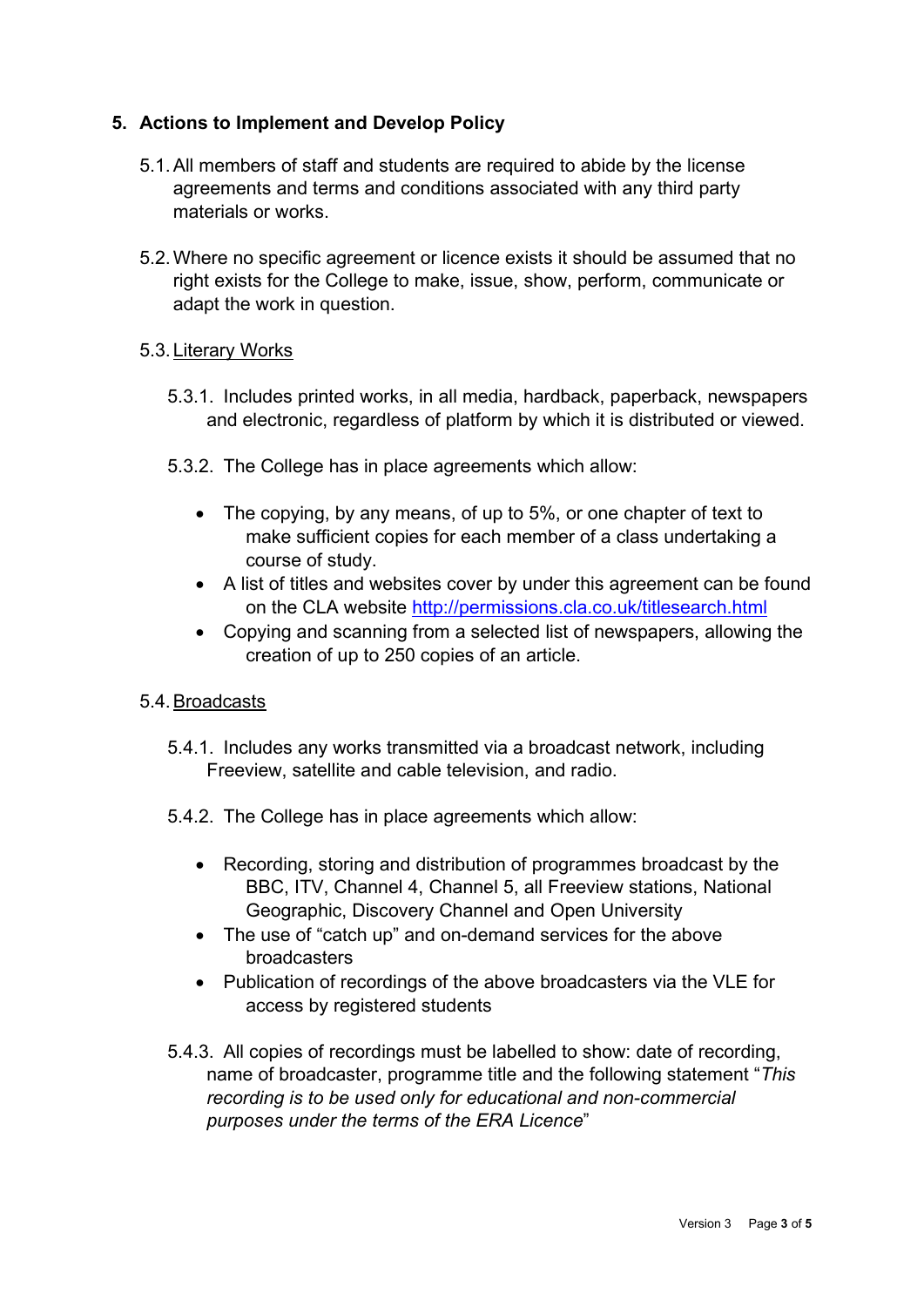# **5. Actions to Implement and Develop Policy**

- 5.1.All members of staff and students are required to abide by the license agreements and terms and conditions associated with any third party materials or works.
- 5.2.Where no specific agreement or licence exists it should be assumed that no right exists for the College to make, issue, show, perform, communicate or adapt the work in question.

#### 5.3.Literary Works

- 5.3.1. Includes printed works, in all media, hardback, paperback, newspapers and electronic, regardless of platform by which it is distributed or viewed.
- 5.3.2. The College has in place agreements which allow:
	- The copying, by any means, of up to 5%, or one chapter of text to make sufficient copies for each member of a class undertaking a course of study.
	- A list of titles and websites cover by under this agreement can be found on the CLA website<http://permissions.cla.co.uk/titlesearch.html>
	- Copying and scanning from a selected list of newspapers, allowing the creation of up to 250 copies of an article.

## 5.4.Broadcasts

- 5.4.1. Includes any works transmitted via a broadcast network, including Freeview, satellite and cable television, and radio.
- 5.4.2. The College has in place agreements which allow:
	- Recording, storing and distribution of programmes broadcast by the BBC, ITV, Channel 4, Channel 5, all Freeview stations, National Geographic, Discovery Channel and Open University
	- The use of "catch up" and on-demand services for the above broadcasters
	- Publication of recordings of the above broadcasters via the VLE for access by registered students
- 5.4.3. All copies of recordings must be labelled to show: date of recording, name of broadcaster, programme title and the following statement "*This recording is to be used only for educational and non-commercial purposes under the terms of the ERA Licence*"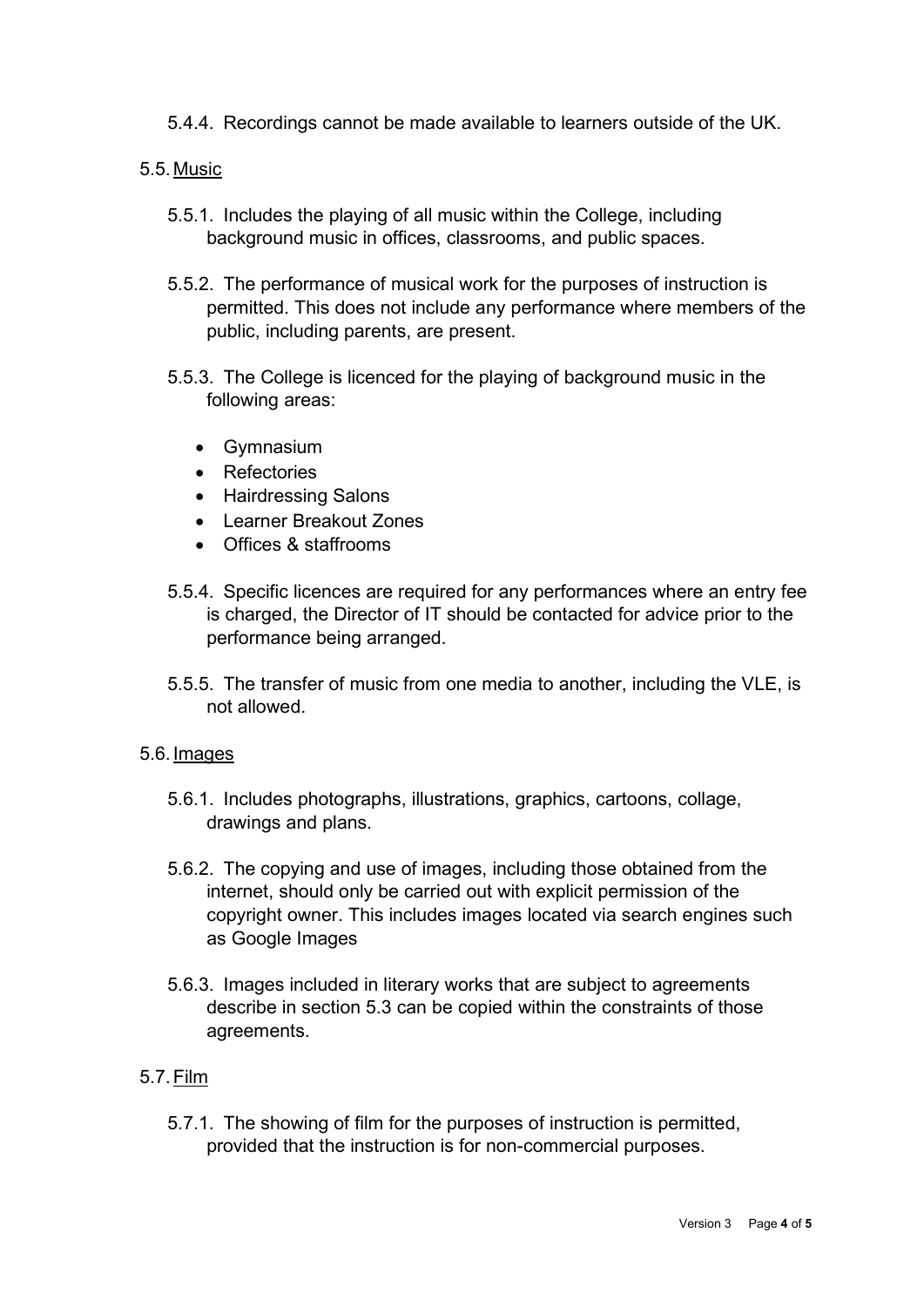5.4.4. Recordings cannot be made available to learners outside of the UK.

#### 5.5. Music

- 5.5.1. Includes the playing of all music within the College, including background music in offices, classrooms, and public spaces.
- 5.5.2. The performance of musical work for the purposes of instruction is permitted. This does not include any performance where members of the public, including parents, are present.
- 5.5.3. The College is licenced for the playing of background music in the following areas:
	- Gymnasium
	- Refectories
	- Hairdressing Salons
	- Learner Breakout Zones
	- Offices & staffrooms
- 5.5.4. Specific licences are required for any performances where an entry fee is charged, the Director of IT should be contacted for advice prior to the performance being arranged.
- 5.5.5. The transfer of music from one media to another, including the VLE, is not allowed.

## 5.6.Images

- 5.6.1. Includes photographs, illustrations, graphics, cartoons, collage, drawings and plans.
- 5.6.2. The copying and use of images, including those obtained from the internet, should only be carried out with explicit permission of the copyright owner. This includes images located via search engines such as Google Images
- 5.6.3. Images included in literary works that are subject to agreements describe in section 5.3 can be copied within the constraints of those agreements.

## 5.7.Film

5.7.1. The showing of film for the purposes of instruction is permitted, provided that the instruction is for non-commercial purposes.